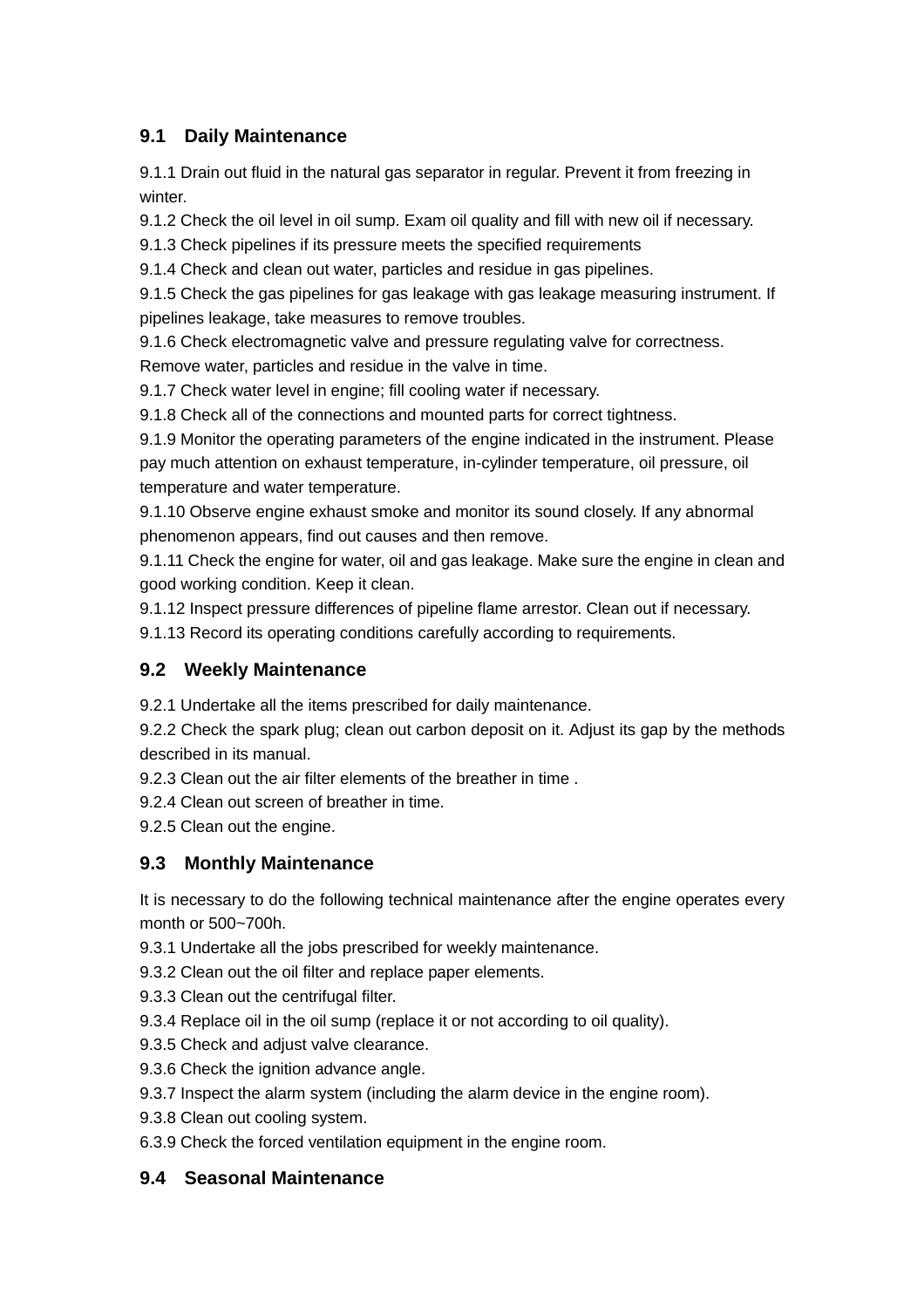## **9.1 Daily Maintenance**

9.1.1 Drain out fluid in the natural gas separator in regular. Prevent it from freezing in winter.

9.1.2 Check the oil level in oil sump. Exam oil quality and fill with new oil if necessary.

9.1.3 Check pipelines if its pressure meets the specified requirements

9.1.4 Check and clean out water, particles and residue in gas pipelines.

9.1.5 Check the gas pipelines for gas leakage with gas leakage measuring instrument. If pipelines leakage, take measures to remove troubles.

9.1.6 Check electromagnetic valve and pressure regulating valve for correctness. Remove water, particles and residue in the valve in time.

9.1.7 Check water level in engine; fill cooling water if necessary.

9.1.8 Check all of the connections and mounted parts for correct tightness.

9.1.9 Monitor the operating parameters of the engine indicated in the instrument. Please pay much attention on exhaust temperature, in-cylinder temperature, oil pressure, oil temperature and water temperature.

9.1.10 Observe engine exhaust smoke and monitor its sound closely. If any abnormal phenomenon appears, find out causes and then remove.

9.1.11 Check the engine for water, oil and gas leakage. Make sure the engine in clean and good working condition. Keep it clean.

9.1.12 Inspect pressure differences of pipeline flame arrestor. Clean out if necessary.

9.1.13 Record its operating conditions carefully according to requirements.

## **9.2 Weekly Maintenance**

9.2.1 Undertake all the items prescribed for daily maintenance.

9.2.2 Check the spark plug; clean out carbon deposit on it. Adjust its gap by the methods described in its manual.

9.2.3 Clean out the air filter elements of the breather in time .

9.2.4 Clean out screen of breather in time.

9.2.5 Clean out the engine.

## **9.3 Monthly Maintenance**

It is necessary to do the following technical maintenance after the engine operates every month or 500~700h.

9.3.1 Undertake all the jobs prescribed for weekly maintenance.

9.3.2 Clean out the oil filter and replace paper elements.

9.3.3 Clean out the centrifugal filter.

9.3.4 Replace oil in the oil sump (replace it or not according to oil quality).

9.3.5 Check and adjust valve clearance.

9.3.6 Check the ignition advance angle.

9.3.7 Inspect the alarm system (including the alarm device in the engine room).

9.3.8 Clean out cooling system.

6.3.9 Check the forced ventilation equipment in the engine room.

## **9.4 Seasonal Maintenance**